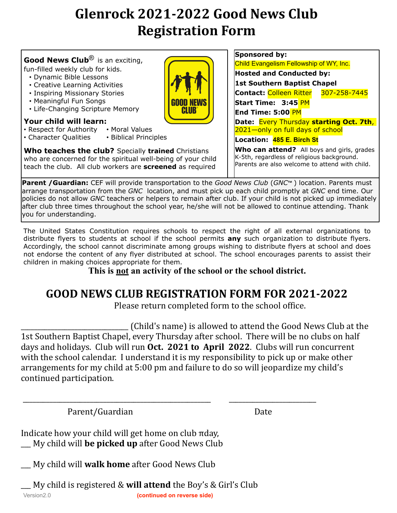## Glenrock 2021-2022 Good News Club **Registration Form**

|                                                                                                                                                                                                                                                                                                                                                     | Sponsored by:                                                                                                                                     |  |
|-----------------------------------------------------------------------------------------------------------------------------------------------------------------------------------------------------------------------------------------------------------------------------------------------------------------------------------------------------|---------------------------------------------------------------------------------------------------------------------------------------------------|--|
| <b>Good News Club</b> <sup>®</sup> is an exciting,                                                                                                                                                                                                                                                                                                  | Child Evangelism Fellowship of WY, Inc.                                                                                                           |  |
| fun-filled weekly club for kids.                                                                                                                                                                                                                                                                                                                    | <b>Hosted and Conducted by:</b>                                                                                                                   |  |
| • Dynamic Bible Lessons<br>• Creative Learning Activities                                                                                                                                                                                                                                                                                           | 1st Southern Baptist Chapel                                                                                                                       |  |
| • Inspiring Missionary Stories                                                                                                                                                                                                                                                                                                                      | Contact: Colleen Ritter<br>307-258-7445                                                                                                           |  |
| • Meaningful Fun Songs                                                                                                                                                                                                                                                                                                                              | <b>Start Time: 3:45 PM</b>                                                                                                                        |  |
| • Life-Changing Scripture Memory<br><b>CLUB</b>                                                                                                                                                                                                                                                                                                     | <b>End Time: 5:00 PM</b>                                                                                                                          |  |
| Your child will learn:<br>• Respect for Authority • Moral Values                                                                                                                                                                                                                                                                                    | Date: Every Thursday starting Oct. 7th,<br>2021-only on full days of school                                                                       |  |
| • Character Qualities<br>• Biblical Principles                                                                                                                                                                                                                                                                                                      | Location: 485 E. Birch St                                                                                                                         |  |
| <b>Who teaches the club?</b> Specially <b>trained</b> Christians<br>who are concerned for the spiritual well-being of your child<br>teach the club. All club workers are screened as required                                                                                                                                                       | <b>Who can attend?</b> All boys and girls, grades<br>K-5th, regardless of religious background.<br>Parents are also welcome to attend with child. |  |
| $\overline{a}$ = $\overline{a}$ = $\overline{a}$ = $\overline{a}$ = $\overline{a}$ = $\overline{a}$ = $\overline{a}$ = $\overline{a}$ = $\overline{a}$ = $\overline{a}$ = $\overline{a}$ = $\overline{a}$ = $\overline{a}$ = $\overline{a}$ = $\overline{a}$ = $\overline{a}$ = $\overline{a}$ = $\overline{a}$ = $\overline{a}$ = $\overline{a}$ = | $\overline{a}$                                                                                                                                    |  |

**Parent /Guardian:** CEF will provide transportation to the *Good News Club* (*GNC*™) location. Parents must arrange transportation from the *GNC* location, and must pick up each child promptly at *GNC* end time. Our policies do not allow *GNC* teachers or helpers to remain after club. If your child is not picked up immediately after club three times throughout the school year, he/she will not be allowed to continue attending. Thank you for understanding.

The United States Constitution requires schools to respect the right of all external organizations to distribute flyers to students at school if the school permits **any** such organization to distribute flyers. Accordingly, the school cannot discriminate among groups wishing to distribute flyers at school and does not endorse the content of any flyer distributed at school. The school encourages parents to assist their children in making choices appropriate for them.

**This is not an activity of the school or the school district.**

## GOOD NEWS CLUB REGISTRATION FORM FOR 2021-2022

Please return completed form to the school office.

\_\_\_\_\_\_\_\_\_\_\_\_\_\_\_\_\_\_\_\_\_\_\_\_\_\_\_\_\_\_\_\_ (Child's name) is allowed to attend the Good News Club at the 1st Southern Baptist Chapel, every Thursday after school. There will be no clubs on half days and holidays. Club will run Oct. 2021 to April 2022. Clubs will run concurrent with the school calendar. I understand it is my responsibility to pick up or make other arrangements for my child at 5:00 pm and failure to do so will jeopardize my child's continued participation.

 \_\_\_\_\_\_\_\_\_\_\_\_\_\_\_\_\_\_\_\_\_\_\_\_\_\_\_\_\_\_\_\_\_\_\_\_\_\_\_\_\_\_\_\_\_\_\_\_\_\_\_\_\_\_\_\_ \_\_\_\_\_\_\_\_\_\_\_\_\_\_\_\_\_\_\_\_\_\_\_\_\_\_ 

Parent/Guardian **Date** 

Indicate how your child will get home on club πday, \_\_\_ My child will **be picked up** after Good News Club 

\_\_\_ My child will **walk home** after Good News Club 

Version2.0 **(continued on reverse side)** My child is registered & **will attend** the Boy's & Girl's Club